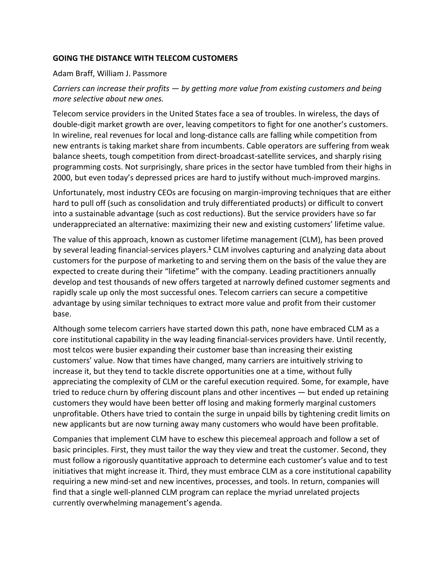### **GOING THE DISTANCE WITH TELECOM CUSTOMERS**

#### Adam Braff, William J. Passmore

# *Carriers can increase their profits — by getting more value from existing customers and being more selective about new ones.*

Telecom service providers in the United States face a sea of troubles. In wireless, the days of double-digit market growth are over, leaving competitors to fight for one another's customers. In wireline, real revenues for local and long-distance calls are falling while competition from new entrants is taking market share from incumbents. Cable operators are suffering from weak balance sheets, tough competition from direct-broadcast-satellite services, and sharply rising programming costs. Not surprisingly, share prices in the sector have tumbled from their highs in 2000, but even today's depressed prices are hard to justify without much-improved margins.

Unfortunately, most industry CEOs are focusing on margin-improving techniques that are either hard to pull off (such as consolidation and truly differentiated products) or difficult to convert into a sustainable advantage (such as cost reductions). But the service providers have so far underappreciated an alternative: maximizing their new and existing customers' lifetime value.

The value of this approach, known as customer lifetime management (CLM), has been proved by several leading financial-services players.**<sup>1</sup>** CLM involves capturing and analyzing data about customers for the purpose of marketing to and serving them on the basis of the value they are expected to create during their "lifetime" with the company. Leading practitioners annually develop and test thousands of new offers targeted at narrowly defined customer segments and rapidly scale up only the most successful ones. Telecom carriers can secure a competitive advantage by using similar techniques to extract more value and profit from their customer base.

Although some telecom carriers have started down this path, none have embraced CLM as a core institutional capability in the way leading financial-services providers have. Until recently, most telcos were busier expanding their customer base than increasing their existing customers' value. Now that times have changed, many carriers are intuitively striving to increase it, but they tend to tackle discrete opportunities one at a time, without fully appreciating the complexity of CLM or the careful execution required. Some, for example, have tried to reduce churn by offering discount plans and other incentives — but ended up retaining customers they would have been better off losing and making formerly marginal customers unprofitable. Others have tried to contain the surge in unpaid bills by tightening credit limits on new applicants but are now turning away many customers who would have been profitable.

Companies that implement CLM have to eschew this piecemeal approach and follow a set of basic principles. First, they must tailor the way they view and treat the customer. Second, they must follow a rigorously quantitative approach to determine each customer's value and to test initiatives that might increase it. Third, they must embrace CLM as a core institutional capability requiring a new mind-set and new incentives, processes, and tools. In return, companies will find that a single well-planned CLM program can replace the myriad unrelated projects currently overwhelming management's agenda.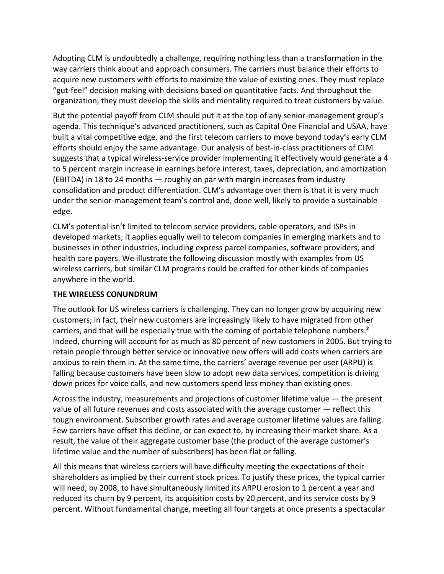Adopting CLM is undoubtedly a challenge, requiring nothing less than a transformation in the way carriers think about and approach consumers. The carriers must balance their efforts to acquire new customers with efforts to maximize the value of existing ones. They must replace "gut-feel" decision making with decisions based on quantitative facts. And throughout the organization, they must develop the skills and mentality required to treat customers by value.

But the potential payoff from CLM should put it at the top of any senior-management group's agenda. This technique's advanced practitioners, such as Capital One Financial and USAA, have built a vital competitive edge, and the first telecom carriers to move beyond today's early CLM efforts should enjoy the same advantage. Our analysis of best-in-class practitioners of CLM suggests that a typical wireless-service provider implementing it effectively would generate a 4 to 5 percent margin increase in earnings before interest, taxes, depreciation, and amortization (EBITDA) in 18 to 24 months — roughly on par with margin increases from industry consolidation and product differentiation. CLM's advantage over them is that it is very much under the senior-management team's control and, done well, likely to provide a sustainable edge.

CLM's potential isn't limited to telecom service providers, cable operators, and ISPs in developed markets; it applies equally well to telecom companies in emerging markets and to businesses in other industries, including express parcel companies, software providers, and health care payers. We illustrate the following discussion mostly with examples from US wireless carriers, but similar CLM programs could be crafted for other kinds of companies anywhere in the world.

### **THE WIRELESS CONUNDRUM**

The outlook for US wireless carriers is challenging. They can no longer grow by acquiring new customers; in fact, their new customers are increasingly likely to have migrated from other carriers, and that will be especially true with the coming of portable telephone numbers.**<sup>2</sup>** Indeed, churning will account for as much as 80 percent of new customers in 2005. But trying to retain people through better service or innovative new offers will add costs when carriers are anxious to rein them in. At the same time, the carriers' average revenue per user (ARPU) is falling because customers have been slow to adopt new data services, competition is driving down prices for voice calls, and new customers spend less money than existing ones.

Across the industry, measurements and projections of customer lifetime value — the present value of all future revenues and costs associated with the average customer — reflect this tough environment. Subscriber growth rates and average customer lifetime values are falling. Few carriers have offset this decline, or can expect to, by increasing their market share. As a result, the value of their aggregate customer base (the product of the average customer's lifetime value and the number of subscribers) has been flat or falling.

All this means that wireless carriers will have difficulty meeting the expectations of their shareholders as implied by their current stock prices. To justify these prices, the typical carrier will need, by 2008, to have simultaneously limited its ARPU erosion to 1 percent a year and reduced its churn by 9 percent, its acquisition costs by 20 percent, and its service costs by 9 percent. Without fundamental change, meeting all four targets at once presents a spectacular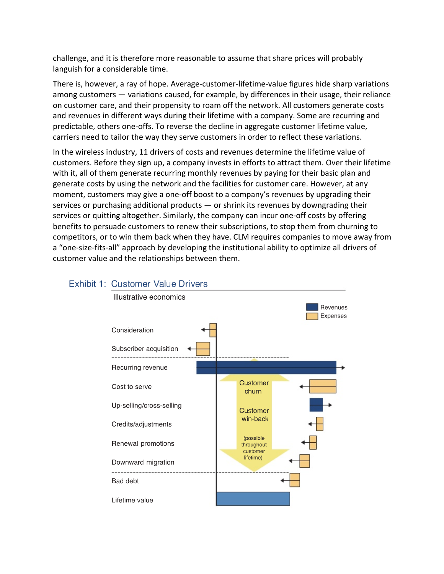challenge, and it is therefore more reasonable to assume that share prices will probably languish for a considerable time.

There is, however, a ray of hope. Average-customer-lifetime-value figures hide sharp variations among customers — variations caused, for example, by differences in their usage, their reliance on customer care, and their propensity to roam off the network. All customers generate costs and revenues in different ways during their lifetime with a company. Some are recurring and predictable, others one-offs. To reverse the decline in aggregate customer lifetime value, carriers need to tailor the way they serve customers in order to reflect these variations.

In the wireless industry, 11 drivers of costs and revenues determine the lifetime value of customers. Before they sign up, a company invests in efforts to attract them. Over their lifetime with it, all of them generate recurring monthly revenues by paying for their basic plan and generate costs by using the network and the facilities for customer care. However, at any moment, customers may give a one-off boost to a company's revenues by upgrading their services or purchasing additional products  $-$  or shrink its revenues by downgrading their services or quitting altogether. Similarly, the company can incur one-off costs by offering benefits to persuade customers to renew their subscriptions, to stop them from churning to competitors, or to win them back when they have. CLM requires companies to move away from a "one-size-fits-all" approach by developing the institutional ability to optimize all drivers of customer value and the relationships between them.



# **Exhibit 1: Customer Value Drivers**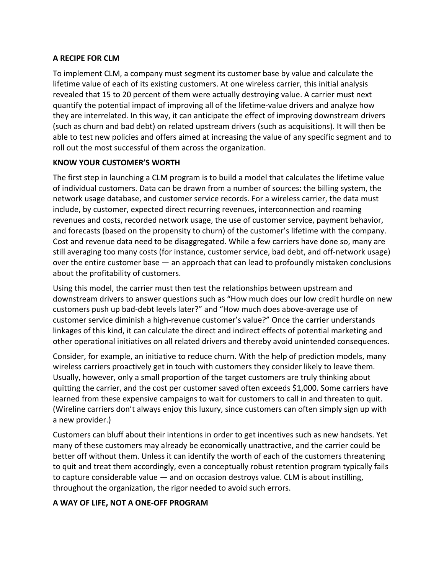### **A RECIPE FOR CLM**

To implement CLM, a company must segment its customer base by value and calculate the lifetime value of each of its existing customers. At one wireless carrier, this initial analysis revealed that 15 to 20 percent of them were actually destroying value. A carrier must next quantify the potential impact of improving all of the lifetime-value drivers and analyze how they are interrelated. In this way, it can anticipate the effect of improving downstream drivers (such as churn and bad debt) on related upstream drivers (such as acquisitions). It will then be able to test new policies and offers aimed at increasing the value of any specific segment and to roll out the most successful of them across the organization.

### **KNOW YOUR CUSTOMER'S WORTH**

The first step in launching a CLM program is to build a model that calculates the lifetime value of individual customers. Data can be drawn from a number of sources: the billing system, the network usage database, and customer service records. For a wireless carrier, the data must include, by customer, expected direct recurring revenues, interconnection and roaming revenues and costs, recorded network usage, the use of customer service, payment behavior, and forecasts (based on the propensity to churn) of the customer's lifetime with the company. Cost and revenue data need to be disaggregated. While a few carriers have done so, many are still averaging too many costs (for instance, customer service, bad debt, and off-network usage) over the entire customer base — an approach that can lead to profoundly mistaken conclusions about the profitability of customers.

Using this model, the carrier must then test the relationships between upstream and downstream drivers to answer questions such as "How much does our low credit hurdle on new customers push up bad-debt levels later?" and "How much does above-average use of customer service diminish a high-revenue customer's value?" Once the carrier understands linkages of this kind, it can calculate the direct and indirect effects of potential marketing and other operational initiatives on all related drivers and thereby avoid unintended consequences.

Consider, for example, an initiative to reduce churn. With the help of prediction models, many wireless carriers proactively get in touch with customers they consider likely to leave them. Usually, however, only a small proportion of the target customers are truly thinking about quitting the carrier, and the cost per customer saved often exceeds \$1,000. Some carriers have learned from these expensive campaigns to wait for customers to call in and threaten to quit. (Wireline carriers don't always enjoy this luxury, since customers can often simply sign up with a new provider.)

Customers can bluff about their intentions in order to get incentives such as new handsets. Yet many of these customers may already be economically unattractive, and the carrier could be better off without them. Unless it can identify the worth of each of the customers threatening to quit and treat them accordingly, even a conceptually robust retention program typically fails to capture considerable value — and on occasion destroys value. CLM is about instilling, throughout the organization, the rigor needed to avoid such errors.

# **A WAY OF LIFE, NOT A ONE-OFF PROGRAM**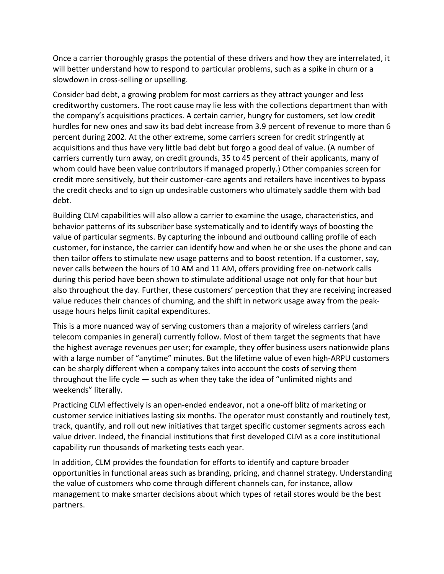Once a carrier thoroughly grasps the potential of these drivers and how they are interrelated, it will better understand how to respond to particular problems, such as a spike in churn or a slowdown in cross-selling or upselling.

Consider bad debt, a growing problem for most carriers as they attract younger and less creditworthy customers. The root cause may lie less with the collections department than with the company's acquisitions practices. A certain carrier, hungry for customers, set low credit hurdles for new ones and saw its bad debt increase from 3.9 percent of revenue to more than 6 percent during 2002. At the other extreme, some carriers screen for credit stringently at acquisitions and thus have very little bad debt but forgo a good deal of value. (A number of carriers currently turn away, on credit grounds, 35 to 45 percent of their applicants, many of whom could have been value contributors if managed properly.) Other companies screen for credit more sensitively, but their customer-care agents and retailers have incentives to bypass the credit checks and to sign up undesirable customers who ultimately saddle them with bad debt.

Building CLM capabilities will also allow a carrier to examine the usage, characteristics, and behavior patterns of its subscriber base systematically and to identify ways of boosting the value of particular segments. By capturing the inbound and outbound calling profile of each customer, for instance, the carrier can identify how and when he or she uses the phone and can then tailor offers to stimulate new usage patterns and to boost retention. If a customer, say, never calls between the hours of 10 AM and 11 AM, offers providing free on-network calls during this period have been shown to stimulate additional usage not only for that hour but also throughout the day. Further, these customers' perception that they are receiving increased value reduces their chances of churning, and the shift in network usage away from the peakusage hours helps limit capital expenditures.

This is a more nuanced way of serving customers than a majority of wireless carriers (and telecom companies in general) currently follow. Most of them target the segments that have the highest average revenues per user; for example, they offer business users nationwide plans with a large number of "anytime" minutes. But the lifetime value of even high-ARPU customers can be sharply different when a company takes into account the costs of serving them throughout the life cycle — such as when they take the idea of "unlimited nights and weekends" literally.

Practicing CLM effectively is an open-ended endeavor, not a one-off blitz of marketing or customer service initiatives lasting six months. The operator must constantly and routinely test, track, quantify, and roll out new initiatives that target specific customer segments across each value driver. Indeed, the financial institutions that first developed CLM as a core institutional capability run thousands of marketing tests each year.

In addition, CLM provides the foundation for efforts to identify and capture broader opportunities in functional areas such as branding, pricing, and channel strategy. Understanding the value of customers who come through different channels can, for instance, allow management to make smarter decisions about which types of retail stores would be the best partners.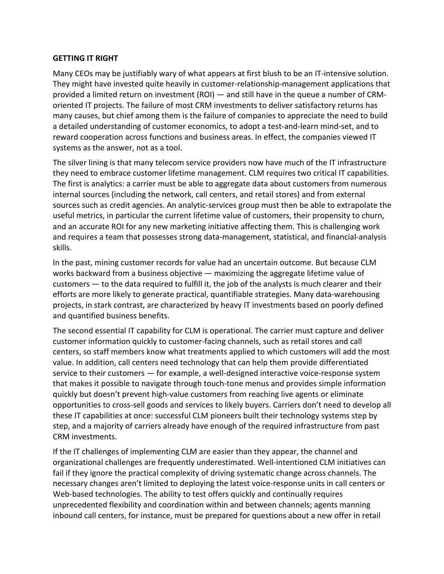### **GETTING IT RIGHT**

Many CEOs may be justifiably wary of what appears at first blush to be an IT-intensive solution. They might have invested quite heavily in customer-relationship-management applications that provided a limited return on investment (ROI) — and still have in the queue a number of CRMoriented IT projects. The failure of most CRM investments to deliver satisfactory returns has many causes, but chief among them is the failure of companies to appreciate the need to build a detailed understanding of customer economics, to adopt a test-and-learn mind-set, and to reward cooperation across functions and business areas. In effect, the companies viewed IT systems as the answer, not as a tool.

The silver lining is that many telecom service providers now have much of the IT infrastructure they need to embrace customer lifetime management. CLM requires two critical IT capabilities. The first is analytics: a carrier must be able to aggregate data about customers from numerous internal sources (including the network, call centers, and retail stores) and from external sources such as credit agencies. An analytic-services group must then be able to extrapolate the useful metrics, in particular the current lifetime value of customers, their propensity to churn, and an accurate ROI for any new marketing initiative affecting them. This is challenging work and requires a team that possesses strong data-management, statistical, and financial-analysis skills.

In the past, mining customer records for value had an uncertain outcome. But because CLM works backward from a business objective — maximizing the aggregate lifetime value of customers — to the data required to fulfill it, the job of the analysts is much clearer and their efforts are more likely to generate practical, quantifiable strategies. Many data-warehousing projects, in stark contrast, are characterized by heavy IT investments based on poorly defined and quantified business benefits.

The second essential IT capability for CLM is operational. The carrier must capture and deliver customer information quickly to customer-facing channels, such as retail stores and call centers, so staff members know what treatments applied to which customers will add the most value. In addition, call centers need technology that can help them provide differentiated service to their customers — for example, a well-designed interactive voice-response system that makes it possible to navigate through touch-tone menus and provides simple information quickly but doesn't prevent high-value customers from reaching live agents or eliminate opportunities to cross-sell goods and services to likely buyers. Carriers don't need to develop all these IT capabilities at once: successful CLM pioneers built their technology systems step by step, and a majority of carriers already have enough of the required infrastructure from past CRM investments.

If the IT challenges of implementing CLM are easier than they appear, the channel and organizational challenges are frequently underestimated. Well-intentioned CLM initiatives can fail if they ignore the practical complexity of driving systematic change across channels. The necessary changes aren't limited to deploying the latest voice-response units in call centers or Web-based technologies. The ability to test offers quickly and continually requires unprecedented flexibility and coordination within and between channels; agents manning inbound call centers, for instance, must be prepared for questions about a new offer in retail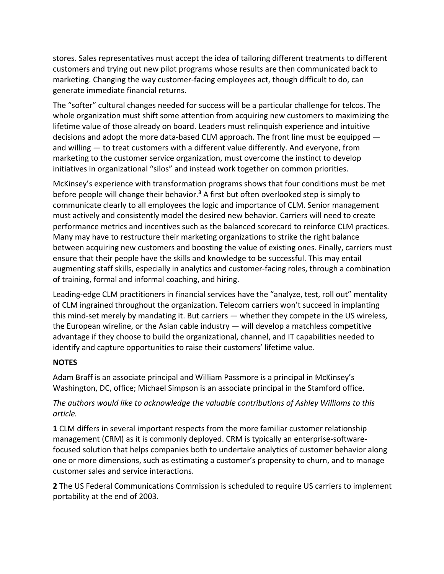stores. Sales representatives must accept the idea of tailoring different treatments to different customers and trying out new pilot programs whose results are then communicated back to marketing. Changing the way customer-facing employees act, though difficult to do, can generate immediate financial returns.

The "softer" cultural changes needed for success will be a particular challenge for telcos. The whole organization must shift some attention from acquiring new customers to maximizing the lifetime value of those already on board. Leaders must relinquish experience and intuitive decisions and adopt the more data-based CLM approach. The front line must be equipped and willing — to treat customers with a different value differently. And everyone, from marketing to the customer service organization, must overcome the instinct to develop initiatives in organizational "silos" and instead work together on common priorities.

McKinsey's experience with transformation programs shows that four conditions must be met before people will change their behavior.**<sup>3</sup>** A first but often overlooked step is simply to communicate clearly to all employees the logic and importance of CLM. Senior management must actively and consistently model the desired new behavior. Carriers will need to create performance metrics and incentives such as the balanced scorecard to reinforce CLM practices. Many may have to restructure their marketing organizations to strike the right balance between acquiring new customers and boosting the value of existing ones. Finally, carriers must ensure that their people have the skills and knowledge to be successful. This may entail augmenting staff skills, especially in analytics and customer-facing roles, through a combination of training, formal and informal coaching, and hiring.

Leading-edge CLM practitioners in financial services have the "analyze, test, roll out" mentality of CLM ingrained throughout the organization. Telecom carriers won't succeed in implanting this mind-set merely by mandating it. But carriers — whether they compete in the US wireless, the European wireline, or the Asian cable industry — will develop a matchless competitive advantage if they choose to build the organizational, channel, and IT capabilities needed to identify and capture opportunities to raise their customers' lifetime value.

# **NOTES**

Adam Braff is an associate principal and William Passmore is a principal in McKinsey's Washington, DC, office; Michael Simpson is an associate principal in the Stamford office.

# *The authors would like to acknowledge the valuable contributions of Ashley Williams to this article.*

**1** CLM differs in several important respects from the more familiar customer relationship management (CRM) as it is commonly deployed. CRM is typically an enterprise-softwarefocused solution that helps companies both to undertake analytics of customer behavior along one or more dimensions, such as estimating a customer's propensity to churn, and to manage customer sales and service interactions.

**2** The US Federal Communications Commission is scheduled to require US carriers to implement portability at the end of 2003.